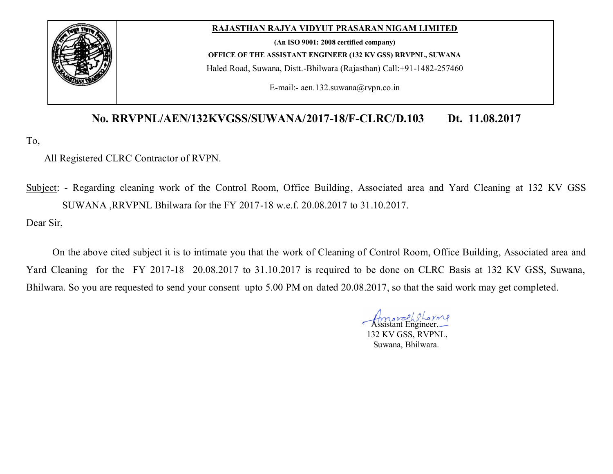

#### **RAJASTHAN RAJYA VIDYUT PRASARAN NIGAM LIMITED**

**(An ISO 9001: 2008 certified company)**

**OFFICE OF THE ASSISTANT ENGINEER (132 KV GSS) RRVPNL, SUWANA**

Haled Road, Suwana, Distt.-Bhilwara (Rajasthan) Call:+91-1482-257460

E-mail:- aen.132.suwana@rvpn.co.in

# **No. RRVPNL/AEN/132KVGSS/SUWANA/2017-18/F-CLRC/D.103 Dt. 11.08.2017**

To,

# All Registered CLRC Contractor of RVPN.

Subject: - Regarding cleaning work of the Control Room, Office Building, Associated area and Yard Cleaning at 132 KV GSS SUWANA ,RRVPNL Bhilwara for the FY 2017-18 w.e.f. 20.08.2017 to 31.10.2017.

Dear Sir,

On the above cited subject it is to intimate you that the work of Cleaning of Control Room, Office Building, Associated area and Yard Cleaning for the FY 2017-18 20.08.2017 to 31.10.2017 is required to be done on CLRC Basis at 132 KV GSS, Suwana, Bhilwara. So you are requested to send your consent upto 5.00 PM on dated 20.08.2017, so that the said work may get completed.

Assistant Engineer, 132 KV GSS, RVPNL, Suwana, Bhilwara.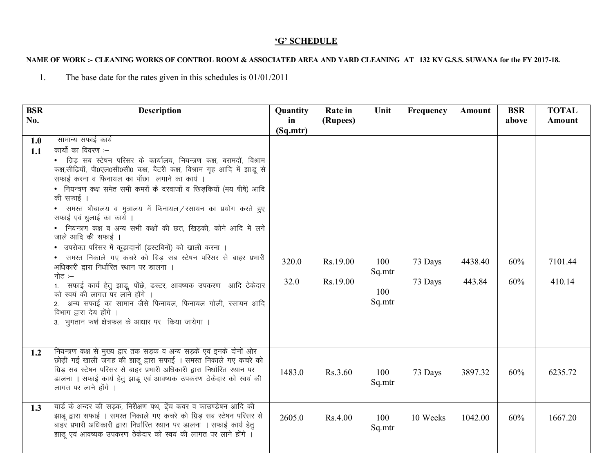## 'G' SCHEDULE

### NAME OF WORK :- CLEANING WORKS OF CONTROL ROOM & ASSOCIATED AREA AND YARD CLEANING AT 132 KV G.S.S. SUWANA for the FY 2017-18.

The base date for the rates given in this schedules is  $01/01/2011$  $1.$ 

| <b>BSR</b> | <b>Description</b>                                                                                                                                                                                                                                                                                                                                                                                                                                                                                                                                                                                                                                                                                                                                                                                                                                                                                                                                    | Quantity      | Rate in              | Unit                           | Frequency          | Amount            | <b>BSR</b> | <b>TOTAL</b>      |
|------------|-------------------------------------------------------------------------------------------------------------------------------------------------------------------------------------------------------------------------------------------------------------------------------------------------------------------------------------------------------------------------------------------------------------------------------------------------------------------------------------------------------------------------------------------------------------------------------------------------------------------------------------------------------------------------------------------------------------------------------------------------------------------------------------------------------------------------------------------------------------------------------------------------------------------------------------------------------|---------------|----------------------|--------------------------------|--------------------|-------------------|------------|-------------------|
| No.        |                                                                                                                                                                                                                                                                                                                                                                                                                                                                                                                                                                                                                                                                                                                                                                                                                                                                                                                                                       | in            | (Rupees)             |                                |                    |                   | above      | <b>Amount</b>     |
|            |                                                                                                                                                                                                                                                                                                                                                                                                                                                                                                                                                                                                                                                                                                                                                                                                                                                                                                                                                       | (Sq.mtr)      |                      |                                |                    |                   |            |                   |
| 1.0        | सामान्य सफाई कार्य                                                                                                                                                                                                                                                                                                                                                                                                                                                                                                                                                                                                                                                                                                                                                                                                                                                                                                                                    |               |                      |                                |                    |                   |            |                   |
| 1.1        | कार्यो का विवरण :–<br>• ग्रिड़ सब स्टेषन परिसर के कार्यालय, नियन्त्रण कक्ष, बरामदों, विश्राम<br>कक्ष,सीढ़ियॉ, पी0एल0सी0सी0 कक्ष, बैटरी कक्ष, विश्राम गृह आदि में झाडू से<br>सफाई करना व फिनायल का पोंछा लगाने का कार्य ।<br>• नियन्त्रण कक्ष समेत सभी कमरों के दरवाजों व खिड़कियों (मय षीषे) आदि<br>की सफाई ।<br>• समस्त षौचालय व मुत्रालय में फिनायल / रसायन का प्रयोग करते हुए<br>सफाई एवं धुलाई का कार्य ।<br>नियन्त्रण कक्ष व अन्य सभी कक्षों की छत, खिड़की, कोने आदि में लगे<br>जाले आदि की सफाई ।<br>• उपरोक्त परिसर में कूड़ादानों (डस्टबिनों) को खाली करना ।<br>• समस्त निकाले गए कचरे को ग्रिड सब स्टेषन परिसर से बाहर प्रभारी<br>अधिकारी द्वारा निर्धारित स्थान पर डालना ।<br>नोट $:=$<br>1. सफाई कार्य हेतु झाडू, पोंछे, डस्टर, आवष्यक उपकरण आदि ठेकेदार<br>को स्वयं की लागत पर लाने होंगे ।<br>2. अन्य सफाई का सामान जैसे फिनायल, फिनायल गोली, रसायन आदि<br>विभाग द्वारा देय होंगे ।<br>3. भुगतान फर्श क्षेत्रफल के आधार पर किया जायेगा । | 320.0<br>32.0 | Rs.19.00<br>Rs.19.00 | 100<br>Sq.mtr<br>100<br>Sq.mtr | 73 Days<br>73 Days | 4438.40<br>443.84 | 60%<br>60% | 7101.44<br>410.14 |
| 1.2        | नियन्त्रण कक्ष से मुख्य द्वार तक सड़क व अन्य सड़कें एवं इनके दोनों ओर<br>छोड़ी गई खाली जगह की झाडू द्वारा सफाई । समस्त निकाले गए कचरे को<br>ग्रिड सब स्टेषन परिसर से बाहर प्रभारी अधिकारी द्वारा निर्धारित स्थान पर<br>डालना । सफाई कार्य हेतु झाडू एवं आवष्यक उपकरण ठेकेदार को स्वयं की<br>लागत पर लाने होंगे                                                                                                                                                                                                                                                                                                                                                                                                                                                                                                                                                                                                                                        | 1483.0        | Rs.3.60              | 100<br>Sq.mtr                  | 73 Days            | 3897.32           | 60%        | 6235.72           |
| 1.3        | यार्ड के अन्दर की सड़क, निरीक्षण पथ, ट्रेंच कवर व फाउण्डेषन आदि की<br>झाडू द्वारा सफाई । समस्त निकाले गए कचरे को ग्रिड़ सब स्टेषन परिसर से<br>बाहर प्रभारी अधिकारी द्वारा निर्धारित स्थान पर डालना । सफाई कार्य हेत्<br>झाडू एवं आवष्यक उपकरण ठेकेदार को स्वयं की लागत पर लाने होंगे ।                                                                                                                                                                                                                                                                                                                                                                                                                                                                                                                                                                                                                                                                | 2605.0        | Rs.4.00              | 100<br>Sq.mtr                  | 10 Weeks           | 1042.00           | 60%        | 1667.20           |